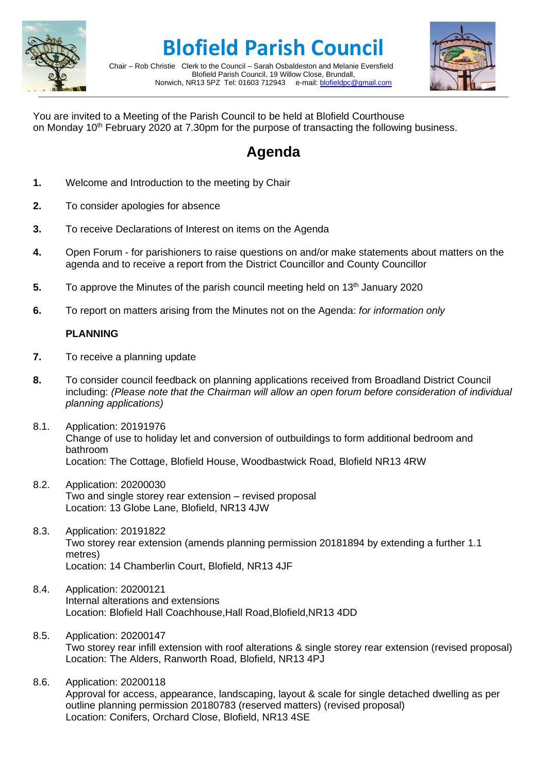

**Blofield Parish Council**

Chair – Rob Christie Clerk to the Council – Sarah Osbaldeston and Melanie Eversfield Blofield Parish Council, 19 Willow Close, Brundall, Norwich, NR13 5PZ Tel: 01603 712943 e-mail: [blofieldpc@gmail.com](mailto:blofieldpc@gmail.com)



You are invited to a Meeting of the Parish Council to be held at Blofield Courthouse on Monday 10<sup>th</sup> February 2020 at 7.30pm for the purpose of transacting the following business.

# **Agenda**

- **1.** Welcome and Introduction to the meeting by Chair
- **2.** To consider apologies for absence
- **3.** To receive Declarations of Interest on items on the Agenda
- **4.** Open Forum for parishioners to raise questions on and/or make statements about matters on the agenda and to receive a report from the District Councillor and County Councillor
- **5.** To approve the Minutes of the parish council meeting held on 13<sup>th</sup> January 2020
- **6.** To report on matters arising from the Minutes not on the Agenda: *for information only*

# **PLANNING**

- **7.** To receive a planning update
- **8.** To consider council feedback on planning applications received from Broadland District Council including: *(Please note that the Chairman will allow an open forum before consideration of individual planning applications)*
- 8.1. Application: 20191976 Change of use to holiday let and conversion of outbuildings to form additional bedroom and bathroom Location: The Cottage, Blofield House, Woodbastwick Road, Blofield NR13 4RW
- 8.2. Application: 20200030 Two and single storey rear extension – revised proposal Location: 13 Globe Lane, Blofield, NR13 4JW
- 8.3. Application: 20191822 Two storey rear extension (amends planning permission 20181894 by extending a further 1.1 metres) Location: 14 Chamberlin Court, Blofield, NR13 4JF
- 8.4. Application: 20200121 Internal alterations and extensions Location: Blofield Hall Coachhouse,Hall Road,Blofield,NR13 4DD
- 8.5. Application: 20200147 Two storey rear infill extension with roof alterations & single storey rear extension (revised proposal) Location: The Alders, Ranworth Road, Blofield, NR13 4PJ
- 8.6. Application: 20200118 Approval for access, appearance, landscaping, layout & scale for single detached dwelling as per outline planning permission 20180783 (reserved matters) (revised proposal) Location: Conifers, Orchard Close, Blofield, NR13 4SE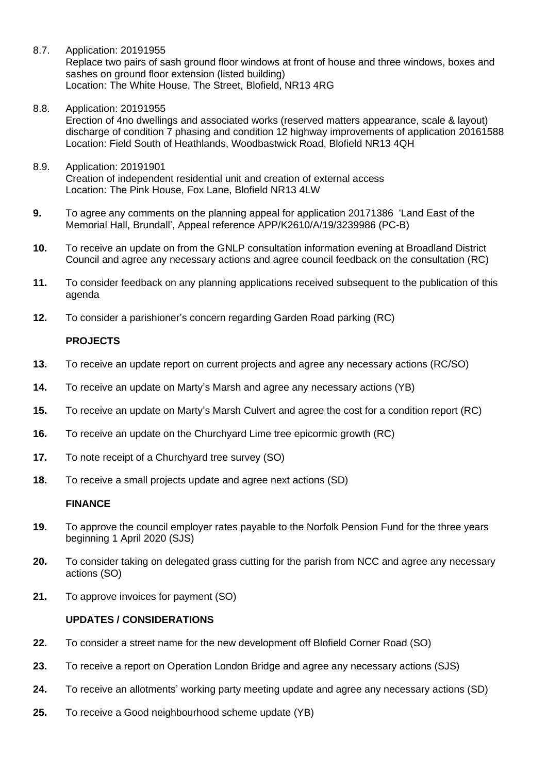- 8.7. Application: 20191955 Replace two pairs of sash ground floor windows at front of house and three windows, boxes and sashes on ground floor extension (listed building) Location: The White House, The Street, Blofield, NR13 4RG
- 8.8. Application: 20191955 Erection of 4no dwellings and associated works (reserved matters appearance, scale & layout) discharge of condition 7 phasing and condition 12 highway improvements of application 20161588 Location: Field South of Heathlands, Woodbastwick Road, Blofield NR13 4QH
- 8.9. Application: 20191901 Creation of independent residential unit and creation of external access Location: The Pink House, Fox Lane, Blofield NR13 4LW
- **9.** To agree any comments on the planning appeal for application 20171386 'Land East of the Memorial Hall, Brundall', Appeal reference APP/K2610/A/19/3239986 (PC-B)
- **10.** To receive an update on from the GNLP consultation information evening at Broadland District Council and agree any necessary actions and agree council feedback on the consultation (RC)
- **11.** To consider feedback on any planning applications received subsequent to the publication of this agenda
- **12.** To consider a parishioner's concern regarding Garden Road parking (RC)

# **PROJECTS**

- **13.** To receive an update report on current projects and agree any necessary actions (RC/SO)
- **14.** To receive an update on Marty's Marsh and agree any necessary actions (YB)
- **15.** To receive an update on Marty's Marsh Culvert and agree the cost for a condition report (RC)
- **16.** To receive an update on the Churchyard Lime tree epicormic growth (RC)
- **17.** To note receipt of a Churchyard tree survey (SO)
- **18.** To receive a small projects update and agree next actions (SD)

#### **FINANCE**

- **19.** To approve the council employer rates payable to the Norfolk Pension Fund for the three years beginning 1 April 2020 (SJS)
- **20.** To consider taking on delegated grass cutting for the parish from NCC and agree any necessary actions (SO)
- **21.** To approve invoices for payment (SO)

# **UPDATES / CONSIDERATIONS**

- **22.** To consider a street name for the new development off Blofield Corner Road (SO)
- **23.** To receive a report on Operation London Bridge and agree any necessary actions (SJS)
- **24.** To receive an allotments' working party meeting update and agree any necessary actions (SD)
- **25.** To receive a Good neighbourhood scheme update (YB)